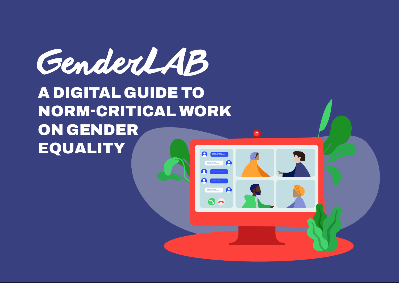A DIGITAL GUIDE TO NORM-CRITICAL WORK ON GENDER EQUALITY GenderLAB

 $\mathbf{S}$   $\mathbf{\Omega}$ 

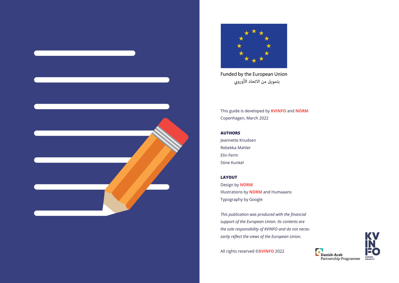



Funded by the European Union بتمويل من الاتحاد الأوروبي

This guide is developed by **[KVINFO](https://kvinfo.dk/?lang=en)** and **[NORM](https://normconsulting.dk/)** Copenhagen, March 2022

#### **AUTHORS**

Jeannette Knudsen Rebekka Mahler Elin Ferm Stine Kunkel

#### **LAYOUT**

Design by **[NORM](https://normconsulting.dk/)** Illustrations by **[NORM](https://normconsulting.dk/)** and Humaaans Typography by Google

*This publication was produced with the financial support of the European Union. Its contents are the sole responsibility of KVINFO and do not necessarily reflect the views of the European Union.*

All rights reserved ©**[KVINFO](https://kvinfo.dk/?lang=en)** 2022



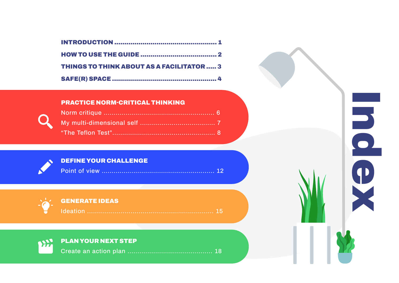

| <b>THINGS TO THINK ABOUT AS A FACILITATOR  3</b> |  |
|--------------------------------------------------|--|
|                                                  |  |

#### [PRACTICE NORM-CRITICAL THINKING](#page-7-0)

[PLAN YOUR NEXT STEP](#page-19-0) **PANT** 



[DEFINE YOUR CHALLENGE](#page-13-0)



[Create an action plan ........................................... 18](#page-20-0)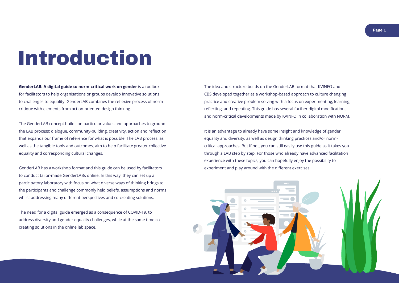**Page 1**

# <span id="page-3-0"></span>Introduction

**GenderLAB: A digital guide to norm-critical work on gender** is a toolbox for facilitators to help organisations or groups develop innovative solutions to challenges to equality. GenderLAB combines the reflexive process of norm critique with elements from action-oriented design thinking.

The GenderLAB concept builds on particular values and approaches to ground the LAB process: dialogue, community-building, creativity, action and reflection that expands our frame of reference for what is possible. The LAB process, as well as the tangible tools and outcomes, aim to help facilitate greater collective equality and corresponding cultural changes.

GenderLAB has a workshop format and this guide can be used by facilitators to conduct tailor-made GenderLABs online. In this way, they can set up a participatory laboratory with focus on what diverse ways of thinking brings to the participants and challenge commonly held beliefs, assumptions and norms whilst addressing many different perspectives and co-creating solutions.

The need for a digital guide emerged as a consequence of COVID-19, to address diversity and gender equality challenges, while at the same time cocreating solutions in the online lab space.

The idea and structure builds on the GenderLAB format that KVINFO and CBS developed together as a workshop-based approach to culture changing practice and creative problem solving with a focus on experimenting, learning, reflecting, and repeating. This guide has several further digital modifications and norm-critical developments made by KVINFO in collaboration with NORM.

It is an advantage to already have some insight and knowledge of gender equality and diversity, as well as design thinking practices and/or normcritical approaches. But if not, you can still easily use this guide as it takes you through a LAB step by step. For those who already have advanced facilitation experience with these topics, you can hopefully enjoy the possibility to experiment and play around with the different exercises.

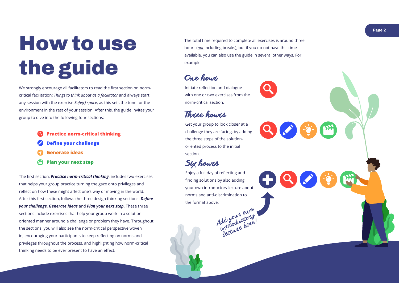

We strongly encourage all facilitators to read the first section on normcritical facilitation: *Things to think about as a facilitator* and always start any session with the exercise *Safe(r) space*, as this sets the tone for the environment in the rest of your session. After this, the guide invites your group to dive into the following four sections:

The first section, *Practice norm-critical thinking*, includes two exercises that helps your group practice turning the gaze onto privileges and reflect on how these might affect one's way of moving in the world. After this first section, follows the three design thinking sections: *Define your challenge* , *Generate ideas* and *Plan your next step*. These three sections include exercises that help your group work in a solutionoriented manner around a challenge or problem they have. Throughout the sections, you will also see the norm-critical perspective woven in, encouraging your participants to keep reflecting on norms and privileges throughout the process, and highlighting how norm-critical thinking needs to be ever present to have an effect.

**Practice norm-critical thinking Define your challenge Generate ideas Plan your next step**

Initiate reflection and dialogue with one or two exercises from the norm-critical section.

## Three hours

Get your group to look closer at a challenge they are facing, by adding the three steps of the solutionoriented process to the initial section.

Enjoy a full day of reflecting and finding solutions by also adding your own introductory lecture about norms and anti-discrimination to the format above.



Six how ts

The total time required to complete all exercises is around three hours (*not* including breaks), but if you do not have this time available, you can also use the guide in several other ways. For example:

One hour

# <span id="page-4-0"></span>How to use the guide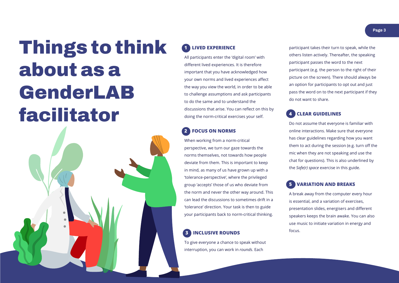# <span id="page-5-0"></span>Things to think about as a GenderLAB facilitator



### **1 LIVED EXPERIENCE**

All participants enter the 'digital room' with different lived experiences. It is therefore important that you have acknowledged how your own norms and lived experiences affect the way you view the world, in order to be able to challenge assumptions and ask participants to do the same and to understand the discussions that arise. You can reflect on this by doing the norm-critical exercises your self.

### **2 FOCUS ON NORMS**

When working from a norm-critical perspective, we turn our gaze towards the norms themselves, not towards how people deviate from them. This is important to keep in mind, as many of us have grown up with a 'tolerance-perspective', where the privileged group 'accepts' those of us who deviate from the norm and never the other way around. This can lead the discussions to sometimes drift in a 'tolerance' direction. Your task is then to guide your participants back to norm-critical thinking.

#### **3 INCLUSIVE ROUNDS**

To give everyone a chance to speak without interruption, you can work in *rounds*. Each

participant takes their turn to speak, while the others listen actively. Thereafter, the speaking participant passes the word to the next participant (e.g. the person to the right of their picture on the screen). There should always be an option for participants to opt out and just pass the word on to the next participant if they do not want to share.

#### **4 CLEAR GUIDELINES**

Do not assume that everyone is familiar with online interactions. Make sure that everyone has clear guidelines regarding how you want them to act during the session (e.g. turn off the mic when they are not speaking and use the chat for questions). This is also underlined by the *Safe(r) space* exercise in this guide.

#### **5 VARIATION AND BREAKS**

A break away from the computer every hour is essential, and a variation of exercises, presentation slides, energisers and different speakers keeps the brain awake. You can also use music to initiate variation in energy and focus.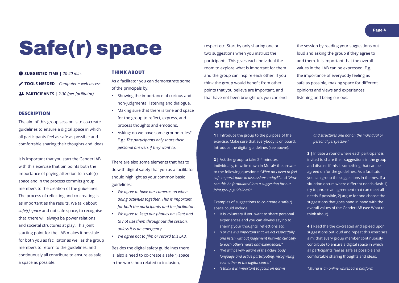# <span id="page-6-0"></span>Safe(r) space

#### **DESCRIPTION**

The aim of this group session is to co-create guidelines to ensure a digital space in which all participants feel as safe as possible and comfortable sharing their thoughts and ideas.

It is important that you start the GenderLAB with this exercise that pin points both the importance of paying attention to a safe(r) space and in the process commits group members to the creation of the guidelines. The process of reflecting and co-creating is as important as the results. We talk about *safe(r) space* and not safe space, to recognise that there will always be power relations and societal structures at play. This joint starting point for the LAB makes it possible for both you as facilitator as well as the group members to return to the guidelines, and continuously all contribute to ensure as safe a space as possible.

 **SUGGESTED TIME |** *20-40 min.* **TOOLS NEEDED |** *Computer + web access*  **PARTICIPANTS** | *2-30 (per facilitator)*

#### **THINK ABOUT**

As a facilitator you can demonstrate some of the principals by:

- Showing the importance of curious and non-judgmental listening and dialogue.
- Making sure that there is time and space for the group to reflect, express, and process thoughts and emotions.
- Asking: do we have some ground rules? E.g.: *The participants only share their personal answers if they want to.*

There are also some elements that has to do with digital safety that you as a facilitator should highlight as your common basic guidelines:

- *• We agree to have our cameras on when doing activities together. This is important for both the participants and the facilitator.*
- *• We agree to keep our phones on silent and to not use them throughout the session, unless it is an emergency.*
- *• We agree not to film or record this LAB.*

Besides the digital safety guidelines there is also a need to co-create a safe(r) space in the workshop related to inclusion,

### **STEP BY STEP**

respect etc. Start by only sharing one or two suggestions when you instruct the participants. This gives each individual the room to explore what is important for them and the group can inspire each other. If you think the group would benefit from other points that you believe are important, and that have not been brought up, you can end the session by reading your suggestions out loud and asking the group if they agree to add them. It is important that the overall values in the LAB can be expressed. E.g. the importance of everybody feeling as safe as possible, making space for different opinions and views and experiences, listening and being curious.

**1 |** Introduce the group to the purpose of the exercise. Make sure that everybody is on board. Introduce the digital guildelines (see above).

**2 |** Ask the group to take 2-4 minutes, individually, to write down in [Mural\\*](https://www.mural.co/) the answer to the following questions: *"What do I need to feel safe to participate in discussions today?"* and *"How can this be formulated into a suggestion for our joint group guidelines?".* 

Examples of suggestions to co-create a safe(r) space could include:

- It is voluntary if you want to share personal experiences and you can always say no to sharing your thoughts, reflections etc.
- *• "For me it is important that we act respectfully and listen without judgement but with curiosity to each other's views and experiences."*
- *• "We will be very aware of the active body language and active participating, recognising each other in the digital space."*
- *• "I think it is important to focus on norms*

*and structures and not on the individual or personal perspective."*

**3 |** Initiate a round where each participant is invited to share their suggestions in the group and discuss if this is something that can be agreed on for the guidelines. As a facilitator you can group the suggestions in themes. If a situation occurs where different needs clash 1) try to phrase an agreement that can meet all needs if possible, 2) argue for and choose the suggestions that goes hand in hand with the overall values of the GenderLAB (see What to think about).

**4 |** Read the the co-created and agreed upon suggestions out loud and repeat this exercise's aim: that every group member continuously contribute to ensure a digital space in which all participants feel as safe as possible and comfortable sharing thoughts and ideas.

*\*Mural is an online whiteboard platform*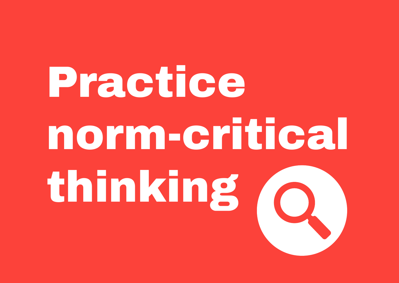# <span id="page-7-0"></span>Practice norm-critical thinking



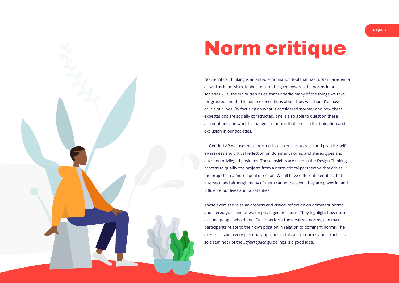**Page 6**



# <span id="page-8-0"></span>Norm critique

Norm-critical thinking is an anti-discrimination tool that has roots in academia as well as in activism. It aims to turn the gaze towards the norms in our societies – i.e. the 'unwritten rules' that underlie many of the things we take for granted and that leads to expectations about how we 'should' behave or live our lives. By focusing on what is considered 'normal' and how these expectations are socially constructed, one is also able to question these assumptions and work to change the norms that lead to discrimination and exclusion in our societies.

In GenderLAB we use these norm-critical exercises to raise and practice self awareness and critical reflection on dominant norms and stereotypes and question privileged positions. These insights are used in the Design Thinking process to qualify the projects from a norm-critical perspective that drives the projects in a more equal direction. We all have different identities that intersect, and although many of them cannot be seen, they are powerful and influence our lives and possibilities.

These exercises raise awareness and critical reflection on dominant norms and stereotypes and question privileged positions. They highlight how norms exclude people who do not 'fit' or perform the idealized norms, and make participants relate to their own position in relation to dominant norms. The exercises take a very personal approach to talk about norms and structures, so a reminder of the *Safe(r) space* guidelines is a good idea.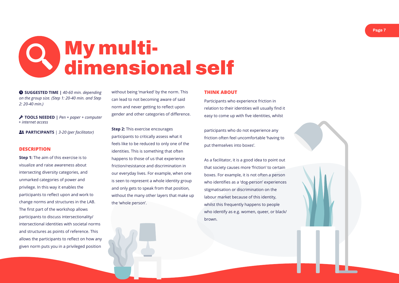



<span id="page-9-0"></span>

**PARTICIPANTS** | *3-20 (per facilitator)*

#### **DESCRIPTION**

**Step 1:** The aim of this exercise is to visualize and raise awareness about intersecting diversity categories, and unmarked categories of power and privilege. In this way it enables the participants to reflect upon and work to change norms and structures in the LAB. The first part of the workshop allows participants to discuss intersectionality/ intersectional identities with societal norms and structures as points of reference. This allows the participants to reflect on how any given norm puts you in a privileged position

**Step 2:** This exercise encourages participants to critically assess what it feels like to be reduced to only one of the identities. This is something that often happens to those of us that experience friction/resistance and discrimination in our everyday lives. For example, when one is seen to represent a whole identity group and only gets to speak from that position, without the many other layers that make up the 'whole person'.

without being 'marked' by the norm. This can lead to not becoming aware of said norm and never getting to reflect upon gender and other categories of difference.

 **SUGGESTED TIME |** *40-60 min. depending on the group size. (Step 1: 20-40 min. and Step 2: 20-40 min.)*

 **TOOLS NEEDED |** *Pen + paper + computer + internet access*

#### **THINK ABOUT**

Participants who experience friction in relation to their identities will usually find it easy to come up with five identities, whilst

participants who do not experience any friction often feel uncomfortable 'having to put themselves into boxes'.

As a facilitator, it is a good idea to point out that society causes more 'friction' to certain boxes. For example, it is not often a person who identifies as a 'dog-person' experiences stigmatisation or discrimination on the labour market because of this identity, whilst this frequently happens to people who identify as e.g. women, queer, or black/ brown.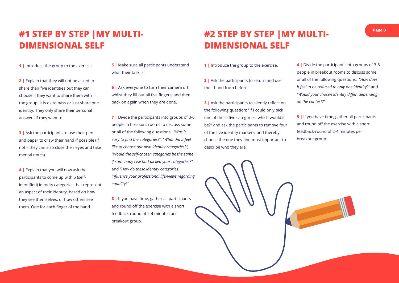

## **#1 STEP BY STEP |MY MULTI-DIMENSIONAL SELF**

**1** Introduce the group to the exercise.

**2 |** Explain that they will not be asked to share their five identities but they can choose if they want to share them with the group. It is ok to pass or just share one identity. They only share their personal answers if they want to.

**3 |** Ask the participants to use their pen and paper to draw their hand if possible (if not – they can also close their eyes and take mental notes).

**4 |** Explain that you will now ask the participants to come up with 5 (selfidentified) identity categories that represent an aspect of their identity, based on how they see themselves, or how others see them. One for each finger of the hand.

**5 |** Make sure all participants understand what their task is.

**6 |** Ask everyone to turn their camera off whilst they fill out all five fingers, and then back on again when they are done.

**7 |** Divide the participants into groups of 3-6 people in breakout rooms to discuss some or all of the following questions: *"Was it easy to find the categories?", "What did it feel like to choose our own identity categories?", "Would the self-chosen categories be the same if somebody else had picked your categories?"*  and *"How do these identity categories influence your professional life/views regarding equality?".*

**8 |** If you have time, gather all participants and round off the exercise with a short feedback-round of 2-4 minutes per breakout group.

## **#2 STEP BY STEP |MY MULTI-DIMENSIONAL SELF**

| <b>1</b> Introduce the group to the exercise.        |                |
|------------------------------------------------------|----------------|
|                                                      | ŗ              |
| <b>2</b> Ask the participants to return and use      | C              |
| their hand from before.                              | İl             |
|                                                      | $\overline{u}$ |
| <b>3</b> Ask the participants to silently reflect on | C              |
| the following question: "If I could only pick        |                |
| one of these five categories, which would it         | Ŀ              |
| be?" and ask the participants to remove four         | ā              |
| of the five identity markers, and thereby            | f              |
| choose the one they find most important to           | t              |
| describe who they are.                               |                |
|                                                      |                |

**4 |** Divide the participants into groups of 3-6 people in breakout rooms to discuss some or all of the following questions: *"How does it feel to be reduced to only one identity?"* and *"Would your chosen identity differ, depending on the context?"*

**5 |** If you have time, gather all participants and round off the exercise with a short feedback-round of 2-4 minutes per breakout group.

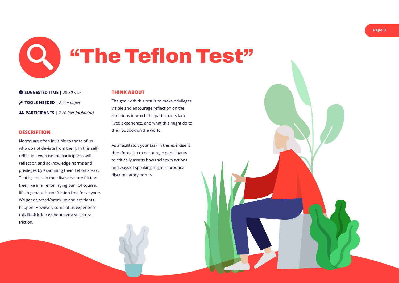



<span id="page-11-0"></span>"The Teflon Test"

#### **DESCRIPTION**

Norms are often invisible to those of us who do not deviate from them. In this selfreflection exercise the participants will reflect on and acknowledge norms and privileges by examining their 'Teflon areas'. That is, areas in their lives that are friction free, like in a Teflon frying pan. Of course, life in general is not friction free for anyone. We get divorced/break up and accidents happen. However, some of us experience this life-friction without extra structural friction.

 **SUGGESTED TIME |** *20-30 min.* **TOOLS NEEDED |** *Pen + paper*  **PARTICIPANTS** | *2-20 (per facilitator)*

#### **THINK ABOUT**

The goal with this test is to make privileges visible and encourage reflection on the situations in which the participants lack lived experience, and what this might do to their outlook on the world.

As a facilitator, your task in this exercise is therefore also to encourage participants to critically assess how their own actions and ways of speaking might reproduce discriminatory norms.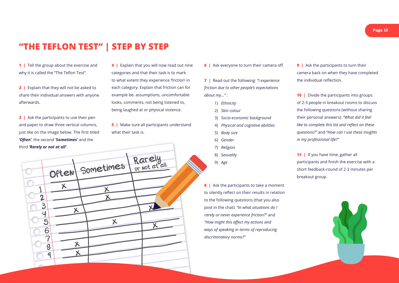

|  | <b>6</b> Ask everyone to turn their camera off. |
|--|-------------------------------------------------|
|  |                                                 |
|  |                                                 |

**5** | Make sure all participants understand what their task is.

**4 |** Explain that you will now read out nine categories and that their task is to mark to what extent they experience 'friction' in each category. Explain that friction can for example be: assumptions, uncomfortable looks, comments, not being listened to, being laughed at or physical violence.

> **8** | Ask the participants to take a moment to silently reflect on their results in relation to the following questions (that you also post in the chat): *"In what situations do I rarely or never experience friction?"* and *"How might this affect my actions and ways of speaking in terms of reproducing discriminatory norms?"*

**1** | Tell the group about the exercise and why it is called the "The Teflon Test".

> **7 |** Read out the following: *"I experience friction due to other people's expectations about my…"* :

**2** | Explain that they will not be asked to share their individual answers with anyone afterwards.

**9** | Ask the participants to turn their camera back on when they have completed the individual reflection.

**10** | Divide the participants into groups of 2-3 people in breakout rooms to discuss he following questions (without sharing their personal answers): *"What did it feel like to complete this list and reflect on these questions?"* and *"How can I use these insights in my professional life?"*

**1** | If you have time, gather all participants and finish the exercise with a short feedback-round of 2-3 minutes per breakout group.



**3 |** Ask the participants to use their pen and paper to draw three vertical columns, just like on the image below. The first titled *'Often'*, the second *'Sometimes'* and the third *'Rarely or not at all'*.

## **"THE TEFLON TEST" | STEP BY STEP**

| 1) Ethnicity                        | O.                          |
|-------------------------------------|-----------------------------|
| 2) Skin colour                      | tł                          |
| 3) Socio-economic background        | tł                          |
| 4) Physical and cognitive abilities | lil                         |
| 5) Body size                        | $q_{\scriptscriptstyle{0}}$ |
| 6) Gender                           | in                          |
| 7) Religion                         |                             |
| 8) Sexuality                        | $\mathbf{1}$                |
| 9) Age                              | p                           |
|                                     | اہ                          |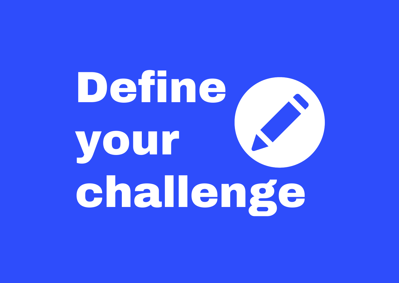# <span id="page-13-0"></span>Define your challenge

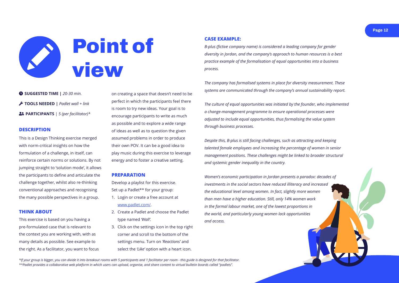**Page 12**



<span id="page-14-0"></span>

#### **DESCRIPTION**

This is a Design Thinking exercise merged with norm-critical insights on how the formulation of a challenge, in itself, can reinforce certain norms or solutions. By not jumping straight to 'solution mode', it allows the participants to define and articulate the challenge together, whilst also re-thinking conventional approaches and recognising the many possible perspectives in a group.

#### **THINK ABOUT**

This exercise is based on you having a pre-formulated case that is relevant to the context you are working with, with as many details as possible. See example to the right. As a facilitator, you want to focus

 **SUGGESTED TIME |** *20-30 min.* **TOOLS NEEDED |** *Padlet wall + link* **PARTICIPANTS** | *5 (per facilitator)\** on creating a space that doesn't need to be perfect in which the participants feel there is room to try new ideas. Your goal is to encourage participants to write as much as possible and to explore a wide range of ideas as well as to question the given assumed problems in order to produce their own POV. It can be a good idea to play music during this exercise to leverage energy and to foster a creative setting.

#### **PREPARATION**

Develop a playlist for this exercise. Set up a Padlet\*\* for your group:

- 1. Login or create a free account at www[.padlet.com/](https://padlet.com/).
- 2. Create a Padlet and choose the Padlet type named *'Wall'.*
- 3. Click on the settings icon in the top right corner and scroll to the bottom of the settings menu. Turn on *'Reactions'* and select the *'Like'* option with a heart icon.

*\*If your group is bigger, you can divide it into breakout rooms with 5 participants and 1 facilitator per room - this guide is designed for that facilitator. \*\*Padlet provides a collaborative web platform in which users can upload, organise, and share content to virtual bulletin boards called "padlets".*

#### **CASE EXAMPLE:**

*B-plus (fictive company name) is considered a leading company for gender diversity in Jordan, and the company's approach to human resources is a best practice example of the formalisation of equal opportunities into a business process.* 

*The company has formalised systems in place for diversity measurement. These systems are communicated through the company's annual sustainability report.* 

*The culture of equal opportunities was initiated by the founder, who implemented a change-management programme to ensure operational processes were adjusted to include equal opportunities, thus formalising the value system through business processes.* 

*Despite this, B-plus is still facing challenges, such as attracting and keeping talented female employees and increasing the percentage of women in senior management positions. These challenges might be linked to broader structural and systemic gender inequality in the country.* 

*Women's economic participation in Jordan presents a paradox: decades of investments in the social sectors have reduced illiteracy and increased the educational level among women. In fact, slightly more women than men have a higher education. Still, only 14% women work in the formal labour market, one of the lowest proportions in the world, and particularly young women lack opportunities and access.*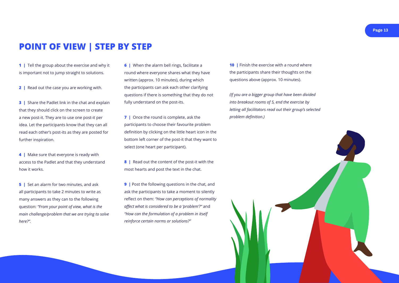



**6** | When the alarm bell rings, facilitate a round where everyone shares what they have written (approx. 10 minutes), during which the participants can ask each other clarifying questions if there is something that they do not fully understand on the post-its.

**7** | Once the round is complete, ask the participants to choose their favourite problem definition by clicking on the little heart icon in the bottom left corner of the post-it that they want to select (one heart per participant).

**8** | Read out the content of the post-it with the most hearts and post the text in the chat.

**9** | Post the following questions in the chat, and ask the participants to take a moment to silently reflect on them: *"How can perceptions of normality affect what is considered to be a 'problem'?"* and *"How can the formulation of a problem in itself reinforce certain norms or solutions?"*

**10** | Finish the exercise with a round where the participants share their thoughts on the questions above (approx. 10 minutes).

**1** | Tell the group about the exercise and why it is important not to jump straight to solutions.

**3** | Share the Padlet link in the chat and explain that they should click on the screen to create a new post-it. They are to use one post-it per idea. Let the participants know that they can all read each other's post-its as they are posted for further inspiration.

**4** | Make sure that everyone is ready with access to the Padlet and that they understand how it works.

**5** | Set an alarm for two minutes, and ask all participants to take 2 minutes to write as many answers as they can to the following question: *"From your point of view, what is the main challenge/problem that we are trying to solve here?".* 

*(If you are a bigger group that have been divided into breakout rooms of 5, end the exercise by letting all facilitators read out their group's selected problem definition.)*

**2 |** Read out the case you are working with.

## **POINT OF VIEW | STEP BY STEP**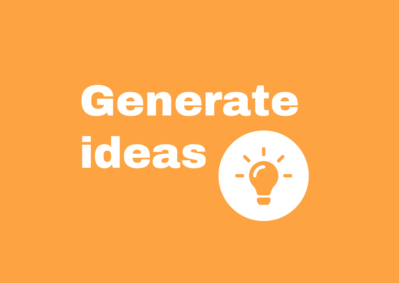# <span id="page-16-0"></span>Generate ideas

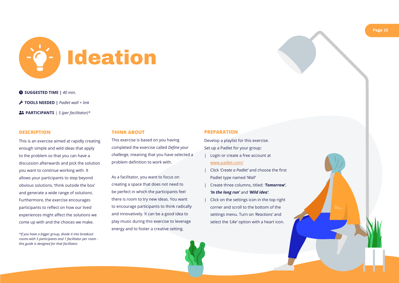

<span id="page-17-0"></span>

#### **DESCRIPTION**

This is an exercise aimed at rapidly creating enough simple and wild ideas that apply to the problem so that you can have a discussion afterwards and pick the solution you want to continue working with. It allows your participants to step beyond obvious solutions, 'think outside the box' and generate a wide range of solutions. Furthermore, the exercise encourages participants to reflect on how our lived experiences might affect the solutions we come up with and the choices we make.

- Login or create a free account at www.[padlet.com/](https://padlet.com/)
- | Click *'Create a Padlet'* and choose the first Padlet type named *'Wall'*
- | Create three columns, titled: *'Tomorrow', 'In the long run'* and *'Wild idea'*.
- | Click on the settings icon in the top right corner and scroll to the bottom of the settings menu. Turn on *'Reactions'* and select the *'Like'* option with a heart icon.
- **SUGGESTED TIME |** *40 min.*
- **TOOLS NEEDED |** *Padlet wall + link*
- **PARTICIPANTS** | *5 (per facilitator)\**

#### **PREPARATION**

Develop a playlist for this exercise. Set up a Padlet for your group:

#### **THINK ABOUT**

This exercise is based on you having completed the exercise called *Define your challenge*, meaning that you have selected a problem definition to work with.

As a facilitator, you want to focus on creating a space that does not need to be perfect in which the participants feel there is room to try new ideas. You want to encourage participants to think radically and innovatively. It can be a good idea to play music during this exercise to leverage energy and to foster a creative setting.

*\*If you have a bigger group, divide it into breakout rooms with 5 participants and 1 facilitator per room this guide is designed for that facilitator.*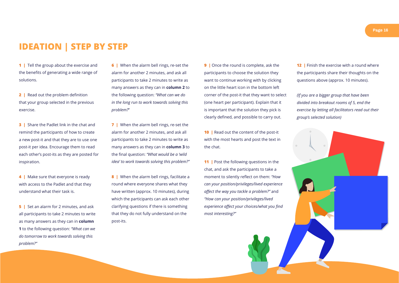**6** | When the alarm bell rings, re-set the alarm for another 2 minutes, and ask all participants to take 2 minutes to write as many answers as they can in **column 2** to the following question: *"What can we do in the long run to work towards solving this problem?*"

**7** | When the alarm bell rings, re-set the alarm for another 2 minutes, and ask all participants to take 2 minutes to write as many answers as they can in **column 3** to the final question: *"What would be a 'wild idea' to work towards solving this problem?"*

**8** | When the alarm bell rings, facilitate a round where everyone shares what they have written (approx. 10 minutes), during which the participants can ask each other clarifying questions if there is something that they do not fully understand on the post-its.

**9** | Once the round is complete, ask the participants to choose the solution they want to continue working with by clicking on the little heart icon in the bottom left corner of the post-it that they want to select (one heart per participant). Explain that it is important that the solution they pick is clearly defined, and possible to carry out.

**10** | Read out the content of the post-it with the most hearts and post the text in the chat.

**11** | Post the following questions in the chat, and ask the participants to take a moment to silently reflect on them: *"How can your position/privileges/lived experience affect the way you tackle a problem?"* and *"How can your position/privileges/lived experience affect your choices/what you find most interesting?"*



**1** | Tell the group about the exercise and the benefits of generating a wide range of solutions.

**2** | Read out the problem definition that your group selected in the previous exercise.

**4** | Make sure that everyone is ready with access to the Padlet and that they understand what their task is.

**5** | Set an alarm for 2 minutes, and ask all participants to take 2 minutes to write as many answers as they can in **column 1** to the following question: *"What can we do tomorrow to work towards solving this problem?"*

**12** | Finish the exercise with a round where the participants share their thoughts on the questions above (approx. 10 minutes).

**3 |** Share the Padlet link in the chat and remind the participants of how to create a new post-it and that they are to use one post-it per idea. Encourage them to read each other's post-its as they are posted for inspiration.

## **IDEATION | STEP BY STEP**

*(If you are a bigger group that have been divided into breakout rooms of 5, end the exercise by letting all facilitators read out their group's selected solution)*

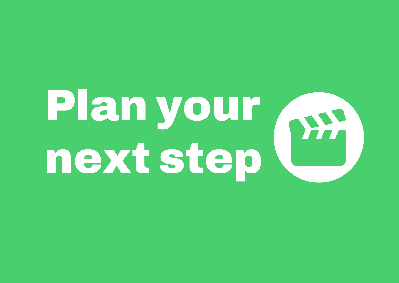# <span id="page-19-0"></span>Plan your w next step

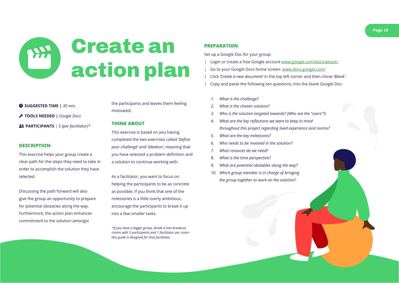

<span id="page-20-0"></span>

#### **DESCRIPTION**

This exercise helps your group create a clear path for the steps they need to take in order to accomplish the solution they have selected.

Discussing the path forward will also give the group an opportunity to prepare for potential obstacles along the way. Furthermore, the action plan enhances commitment to the solution amongst

 **SUGGESTED TIME |** *30 min.* **TOOLS NEEDED |** *Google Docs* **PARTICIPANTS** | *5 (per facilitator)\**

#### **PREPARATION**

Set up a Google Doc for your group:

- Login or create a free Google account www.google.com/docs/about/
- | Go to your Google Docs home screen: www.docs.google.com/
- | Click *'Create a new document'* in the top left corner and then chose *'Blank'.*
- | Copy and paste the following ten questions, into the blank Google Doc:
	- *1. What is the challenge?*
	- *2. What is the chosen solution?*
- 
- *4. What are the key reflections we want to keep in mind*
- *5. What are the key milestones?*
- *6. Who needs to be involved in the solution?*
- *7. What resouces do we need?*
- *8. What is the time perspective?*
- *9. What are potential obstables along the way?*
- *10. Which group member is in charge of bringing the group together to work on the solution?*



the participants and leaves them feeling motivated.

#### **THINK ABOUT**

This exercise is based on you having completed the two exercises called *'Define your challenge'* and *'Ideation'*, meaning that you have selected a problem definition and a solution to continue working with.

As a facilitator, you want to focus on helping the participants to be as concrete as possible. If you think that one of the milestones is a little overly ambitious, encourage the participants to break it up into a few smaller tasks.

*\*If you have a bigger group, divide it into breakout rooms with 5 participants and 1 facilitator per room this guide is designed for that facilitator.*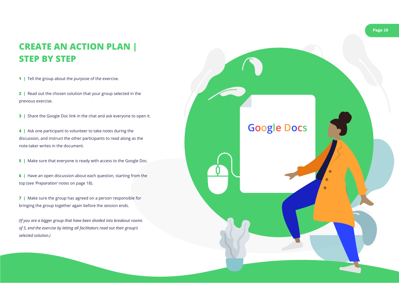**2 |** Read out the chosen solution that your group selected in the previous exercise.

**3** | Share the Google Doc link in the chat and ask everyone to open it.

**4 |** Ask one participant to volunteer to take notes during the discussion, and instruct the other participants to read along as the note-taker writes in the document.

**5** | Make sure that everyone is ready with access to the Google Doc.



**6 |** Have an open discussion about each question, starting from the top (see *'Preparation'* notes on page 18).

**7 |** Make sure the group has agreed on a person responsible for bringing the group together again before the session ends.

*(If you are a bigger group that have been divided into breakout rooms of 5, end the exercise by letting all facilitators read out their group's selected solution.)*

# **CREATE AN ACTION PLAN | STEP BY STEP**

**1** | Tell the group about the purpose of the exercise.